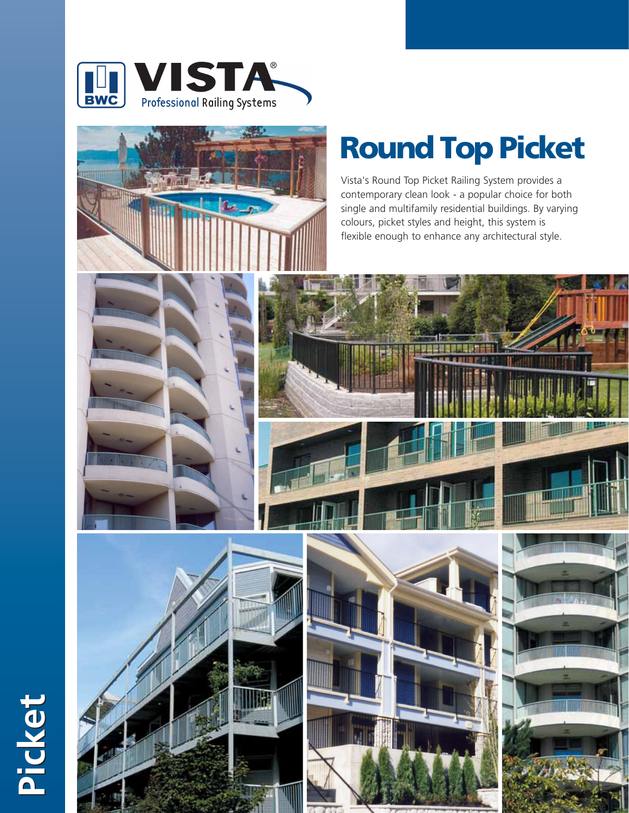



## **Round Top Picket**

Vista's Round Top Picket Railing System provides a contemporary clean look - a popular choice for both single and multifamily residential buildings. By varying colours, picket styles and height, this system is flexible enough to enhance any architectural style.







**Picket Picket**